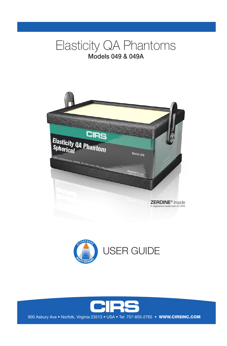# Elasticity QA Phantoms Models 049 & 049A







900 Asbury Ave • Norfolk, Virginia 23513 • USA • Tel: 757-855-2765 • WWW.CIRSINC.COM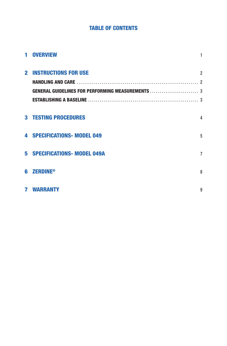# **TABLE OF CONTENTS**

| 1 OVERVIEW                                               |                |
|----------------------------------------------------------|----------------|
| <b>2 INSTRUCTIONS FOR USE</b>                            | $\overline{2}$ |
|                                                          |                |
| <b>GENERAL GUIDELINES FOR PERFORMING MEASUREMENTS </b> 3 |                |
|                                                          |                |
| <b>3 TESTING PROCEDURES</b>                              | 4              |
| <b>4 SPECIFICATIONS- MODEL 049</b>                       | 5              |
|                                                          |                |
| 5 SPECIFICATIONS- MODEL 049A                             | $\overline{7}$ |
|                                                          |                |
| <b>6 ZERDINE®</b>                                        | 8              |
|                                                          |                |
| <b>7 WARRANTY</b>                                        | 9              |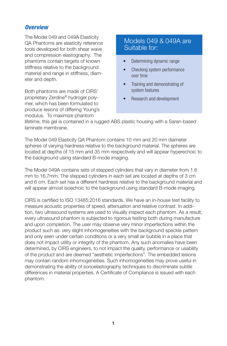### *Overview*

The Model 049 and 049A Elasticity QA Phantoms are elasticity reference tools developed for both shear wave and compression elastography. The phantoms contain targets of known stiffness relative to the background material and range in stiffness, diameter and depth.

Both phantoms are made of CIRS' proprietary Zerdine® hydrogel polymer, which has been formulated to produce lesions of differing Young's modulus. To maximize phantom

# Models 049 & 049A are Suitable for:

- Determining dynamic range
- Checking system performance over time
- Training and demonstrating of system features
- Research and development

lifetime, this gel is contained in a rugged ABS plastic housing with a Saran-based laminate membrane.

The Model 049 Elasticity QA Phantom contains 10 mm and 20 mm diameter spheres of varying hardness relative to the background material. The spheres are located at depths of 15 mm and 35 mm respectively and will appear hyperechoic to the background using standard B-mode imaging.

The Model 049A contains sets of stepped cylinders that vary in diameter from 1.6 mm to 16.7mm. The stepped cylinders in each set are located at depths of 3 cm and 6 cm. Each set has a different hardness relative to the background material and will appear almost isoechoic to the background using standard B-mode imaging.

CIRS is certified to ISO 13485:2016 standards. We have an in-house test facility to measure acoustic properties of speed, attenuation and relative contrast. In addition, two ultrasound systems are used to visually inspect each phantom. As a result, every ultrasound phantom is subjected to rigorous testing both during manufacture and upon completion. The user may observe very minor imperfections within the product such as: very slight inhomogeneities with the background speckle pattern and only seen under certain conditions or a very small air bubble in a place that does not impact utility or integrity of the phantom. Any such anomalies have been determined, by CIRS engineers, to not impact the quality, performance or usability of the product and are deemed "aesthetic imperfections". The embedded lesions may contain random inhomogeneities. Such inhomogeneities may prove useful in demonstrating the ability of sonoelastography techniques to discriminate subtle differences in material properties. A Certificate of Compliance is issued with each phantom.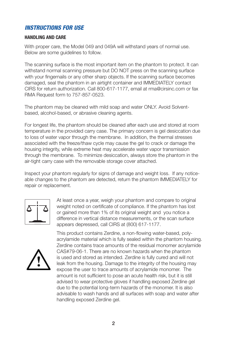# *INSTRUCTIONS FOR USE*

#### **HANDLING AND CARE**

With proper care, the Model 049 and 049A will withstand years of normal use. Below are some guidelines to follow.

The scanning surface is the most important item on the phantom to protect. It can withstand normal scanning pressure but DO NOT press on the scanning surface with your fingernails or any other sharp objects. If the scanning surface becomes damaged, seal the phantom in an airtight container and IMMEDIATELY contact CIRS for return authorization. Call 800-617-1177, email at rma@cirsinc.com or fax RMA Request form to 757-857-0523.

The phantom may be cleaned with mild soap and water ONLY. Avoid Solventbased, alcohol-based, or abrasive cleaning agents.

For longest life, the phantom should be cleaned after each use and stored at room temperature in the provided carry case. The primary concern is gel desiccation due to loss of water vapor through the membrane. In addition, the thermal stresses associated with the freeze/thaw cycle may cause the gel to crack or damage the housing integrity, while extreme heat may accelerate water vapor transmission through the membrane. To minimize desiccation, always store the phantom in the air-tight carry case with the removable storage cover attached.

Inspect your phantom regularly for signs of damage and weight loss. If any noticeable changes to the phantom are detected, return the phantom IMMEDIATELY for repair or replacement.



At least once a year, weigh your phantom and compare to original weight noted on certificate of compliance. If the phantom has lost or gained more than 1% of its original weight and you notice a difference in vertical distance measurements, or the scan surface appears depressed, call CIRS at (800) 617-1177.



This product contains Zerdine, a non-flowing water-based, polyacrylamide material which is fully sealed within the phantom housing. Zerdine contains trace amounts of the residual monomer acrylamide CAS#79-06-1. There are no known hazards when the phantom is used and stored as intended. Zerdine is fully cured and will not leak from the housing. Damage to the integrity of the housing may expose the user to trace amounts of acrylamide monomer. The amount is not sufficient to pose an acute health risk, but it is still advised to wear protective gloves if handling exposed Zerdine gel due to the potential long-term hazards of the monomer. It is also advisable to wash hands and all surfaces with soap and water after handling exposed Zerdine gel.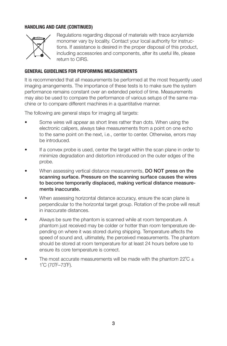### **HANDLING AND CARE (CONTINUED)**



Regulations regarding disposal of materials with trace acrylamide monomer vary by locality. Contact your local authority for instructions. If assistance is desired in the proper disposal of this product, including accessories and components, after its useful life, please return to CIRS.

#### **GENERAL GUIDELINES FOR PERFORMING MEASUREMENTS**

It is recommended that all measurements be performed at the most frequently used imaging arrangements. The importance of these tests is to make sure the system performance remains constant over an extended period of time. Measurements may also be used to compare the performance of various setups of the same machine or to compare different machines in a quantitative manner.

The following are general steps for imaging all targets:

- Some wires will appear as short lines rather than dots. When using the electronic calipers, always take measurements from a point on one echo to the same point on the next, i.e., center to center. Otherwise, errors may be introduced.
- If a convex probe is used, center the target within the scan plane in order to minimize degradation and distortion introduced on the outer edges of the probe.
- When assessing vertical distance measurements, DO NOT press on the scanning surface. Pressure on the scanning surface causes the wires to become temporarily displaced, making vertical distance measurements inaccurate.
- When assessing horizontal distance accuracy, ensure the scan plane is perpendicular to the horizontal target group. Rotation of the probe will result in inaccurate distances.
- Always be sure the phantom is scanned while at room temperature. A phantom just received may be colder or hotter than room temperature depending on where it was stored during shipping. Temperature affects the speed of sound and, ultimately, the perceived measurements. The phantom should be stored at room temperature for at least 24 hours before use to ensure its core temperature is correct.
- The most accurate measurements will be made with the phantom  $22^{\circ}\text{C}$   $\pm$ 1˚C (70˚F–73˚F).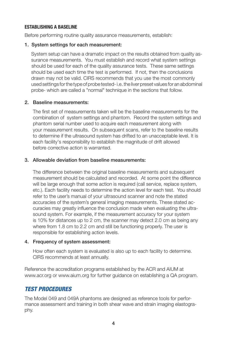#### **ESTABLISHING A BASELINE**

Before performing routine quality assurance measurements, establish:

#### 1. System settings for each measurement:

System setup can have a dramatic impact on the results obtained from quality assurance measurements. You must establish and record what system settings should be used for each of the quality assurance tests. These same settings should be used each time the test is performed. If not, then the conclusions drawn may not be valid. CIRS recommends that you use the most commonly used settings for the type of probe tested- i.e. the liver preset values for an abdominal probe- which are called a "normal" technique in the sections that follow.

#### 2. Baseline measurements:

The first set of measurements taken will be the baseline measurements for the combination of system settings and phantom. Record the system settings and phantom serial number used to acquire each measurement along with your measurement results. On subsequent scans, refer to the baseline results to determine if the ultrasound system has drifted to an unacceptable level. It is each facility's responsibility to establish the magnitude of drift allowed before corrective action is warranted.

#### 3. Allowable deviation from baseline measurements:

The difference between the original baseline measurements and subsequent measurement should be calculated and recorded. At some point the difference will be large enough that some action is required (call service, replace system, etc.). Each facility needs to determine the action level for each test. You should refer to the user's manual of your ultrasound scanner and note the stated accuracies of the system's general imaging measurements. These stated accuracies may greatly influence the conclusion made when evaluating the ultrasound system. For example, if the measurement accuracy for your system is 10% for distances up to 2 cm, the scanner may detect 2.0 cm as being any where from 1.8 cm to 2.2 cm and still be functioning properly. The user is responsible for establishing action levels.

#### 4. Frequency of system assessment:

 How often each system is evaluated is also up to each facility to determine. CIRS recommends at least annually.

Reference the accreditation programs established by the ACR and AIUM at www.acr.org or www.aium.org for further guidance on establishing a QA program.

### *TEST PROCEDURES*

The Model 049 and 049A phantoms are designed as reference tools for performance assessment and training in both shear wave and strain imaging elastography.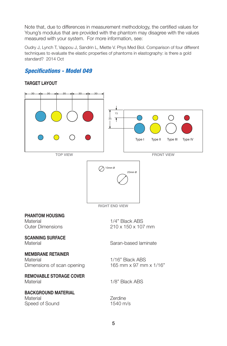Note that, due to differences in measurement methodology, the certified values for Young's modulus that are provided with the phantom may disagree with the values measured with your system. For more information, see:

Oudry J, Lynch T, Vappou J, Sandrin L, Miette V. Phys Med Biol. Comparison of four different techniques to evaluate the elastic properties of phantoms in elastography: is there a gold standard? 2014 Oct

## *Specifications - Model 049*

#### **TARGET LAYOUT**

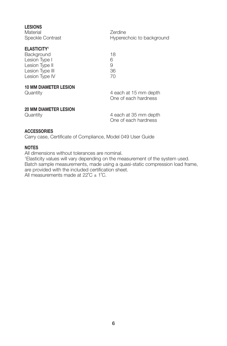| <b>LESIONS</b><br>Material<br>Speckle Contrast                                                                             | Zerdine<br>Hyperechoic to background          |
|----------------------------------------------------------------------------------------------------------------------------|-----------------------------------------------|
| <b>ELASTICITY<sup>1</sup></b><br><b>Background</b><br>Lesion Type I<br>Lesion Type II<br>Lesion Type III<br>Lesion Type IV | 18<br>6<br>9<br>36<br>70                      |
| <b>10 MM DIAMETER LESION</b><br>Quantity                                                                                   | 4 each at 15 mm depth<br>One of each hardness |
| <b>20 MM DIAMETER LESION</b><br>Quantity                                                                                   | 4 each at 35 mm depth                         |

One of each hardness

#### **ACCESSORIES**

Carry case, Certificate of Compliance, Model 049 User Guide

### **NOTES**

All dimensions without tolerances are nominal.

1 Elasticity values will vary depending on the measurement of the system used. Batch sample measurements, made using a quasi-static compression load frame, are provided with the included certification sheet. All measurements made at  $22^{\circ}C \pm 1^{\circ}C$ .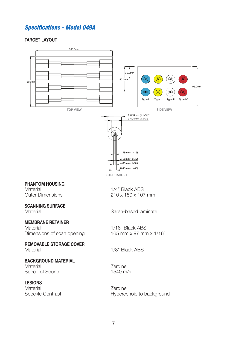### *Specifications - Model 049A*

#### **TARGET LAYOUT**



STEP TARGET

#### **PHANTOM HOUSING**

Material 1/4" Black ABS<br>Outer Dimensions 210 x 150 x 107

### **SCANNING SURFACE**

# **MEMBRANE RETAINER**

Dimensions of scan opening

### **REMOVABLE STORAGE COVER**

### **BACKGROUND MATERIAL**

Material Material Communications of the Material Communications of the Material American Communications of the<br>
Material Communications of the Sound Communications of the Material American Communications of the Material C<br> Speed of Sound

#### **LESIONS**

Material 2erdine<br>
Speckle Contrast<br>
Hyperec

 $210 \times 150 \times 107$  mm

Material Saran-based laminate

Material 1/16" Black ABS<br>Dimensions of scan opening 165 mm x 97 mm x 1/16"

Material 1/8" Black ABS

Hyperechoic to background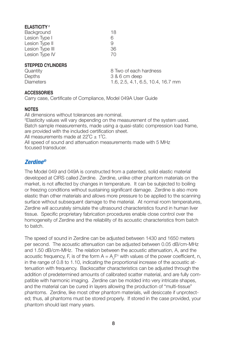#### **ELASTICITY <sup>2</sup>**

| <b>Background</b> | 18 |
|-------------------|----|
| Lesion Type I     | 6  |
| Lesion Type II    | q  |
| Lesion Type III   | 36 |
| Lesion Type IV    | 70 |

#### **STEPPED CYLINDERS**

Quantity 2001 Cuantity 1990 Cuantity 1990 B Two of each hardness<br>  $\frac{1}{3}$  & 6 cm deep  $3$  & 6 cm deep Diameters 1.6, 2.5, 4.1, 6.5, 10.4, 16.7 mm

#### **ACCESSORIES**

Carry case, Certificate of Compliance, Model 049A User Guide

#### **NOTES**

All dimensions without tolerances are nominal. 2 Elasticity values will vary depending on the measurement of the system used. Batch sample measurements, made using a quasi-static compression load frame, are provided with the included certification sheet. All measurements made at  $22^{\circ}C \pm 1^{\circ}C$ .

All speed of sound and attenuation measurements made with 5 MHz focused transducer.

### *Zerdine®*

The Model 049 and 049A is constructed from a patented, solid elastic material developed at CIRS called Zerdine. Zerdine, unlike other phantom materials on the market, is not affected by changes in temperature. It can be subjected to boiling or freezing conditions without sustaining significant damage. Zerdine is also more elastic than other materials and allows more pressure to be applied to the scanning surface without subsequent damage to the material. At normal room temperatures, Zerdine will accurately simulate the ultrasound characteristics found in human liver tissue. Specific proprietary fabrication procedures enable close control over the homogeneity of Zerdine and the reliability of its acoustic characteristics from batch to batch.

The speed of sound in Zerdine can be adjusted between 1430 and 1650 meters per second. The acoustic attenuation can be adjusted between 0.05 dB/cm-MHz and 1.50 dB/cm-MHz. The relation between the acoustic attenuation, A, and the acoustic frequency, F, is of the form  $A = A_{\circ}F^n$  with values of the power coefficient, n, in the range of 0.8 to 1.10, indicating the proportional increase of the acoustic attenuation with frequency. Backscatter characteristics can be adjusted through the addition of predetermined amounts of calibrated scatter material, and are fully compatible with harmonic imaging. Zerdine can be molded into very intricate shapes, and the material can be cured in layers allowing the production of "multi-tissue" phantoms. Zerdine, like most other phantom materials, will desiccate if unprotected; thus, all phantoms must be stored properly. If stored in the case provided, your phantom should last many years.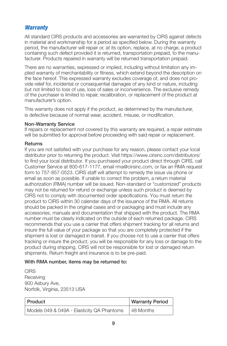### *Warranty*

All standard CIRS products and accessories are warranted by CIRS against defects in material and workmanship for a period as specified below. During the warranty period, the manufacturer will repair or, at its option, replace, at no charge, a product containing such defect provided it is returned, transportation prepaid, to the manufacturer. Products repaired in warranty will be returned transportation prepaid.

There are no warranties, expressed or implied, including without limitation any implied warranty of merchantability or fitness, which extend beyond the description on the face hereof. This expressed warranty excludes coverage of, and does not provide relief for, incidental or consequential damages of any kind or nature, including but not limited to loss of use, loss of sales or inconvenience. The exclusive remedy of the purchaser is limited to repair, recalibration, or replacement of the product at manufacturer's option.

This warranty does not apply if the product, as determined by the manufacturer, is defective because of normal wear, accident, misuse, or modification.

#### Non-Warranty Service

If repairs or replacement not covered by this warranty are required, a repair estimate will be submitted for approval before proceeding with said repair or replacement.

#### **Returns**

If you are not satisfied with your purchase for any reason, please contact your local distributor prior to returning the product. Visit https://www.cirsinc.com/distributors/ to find your local distributor. If you purchased your product direct through CIRS, call Customer Service at 800-617-1177, email rma@cirsinc.com, or fax an RMA request form to 757-857-0523. CIRS staff will attempt to remedy the issue via phone or email as soon as possible. If unable to correct the problem, a return material authorization (RMA) number will be issued. Non-standard or "customized" products may not be returned for refund or exchange unless such product is deemed by CIRS not to comply with documented order specifications. You must return the product to CIRS within 30 calendar days of the issuance of the RMA. All returns should be packed in the original cases and or packaging and must include any accessories, manuals and documentation that shipped with the product. The RMA number must be clearly indicated on the outside of each returned package. CIRS recommends that you use a carrier that offers shipment tracking for all returns and insure the full value of your package so that you are completely protected if the shipment is lost or damaged in transit. If you choose not to use a carrier that offers tracking or insure the product, you will be responsible for any loss or damage to the product during shipping. CIRS will not be responsible for lost or damaged return shipments. Return freight and insurance is to be pre-paid.

#### With RMA number, items may be returned to:

CIRS **Receiving** 900 Asbury Ave, Norfolk, Virginia, 23513 USA

| ∣ Product                                  | <b>Warranty Period</b> |
|--------------------------------------------|------------------------|
| Models 049 & 049A - Elasticity QA Phantoms | 48 Months              |